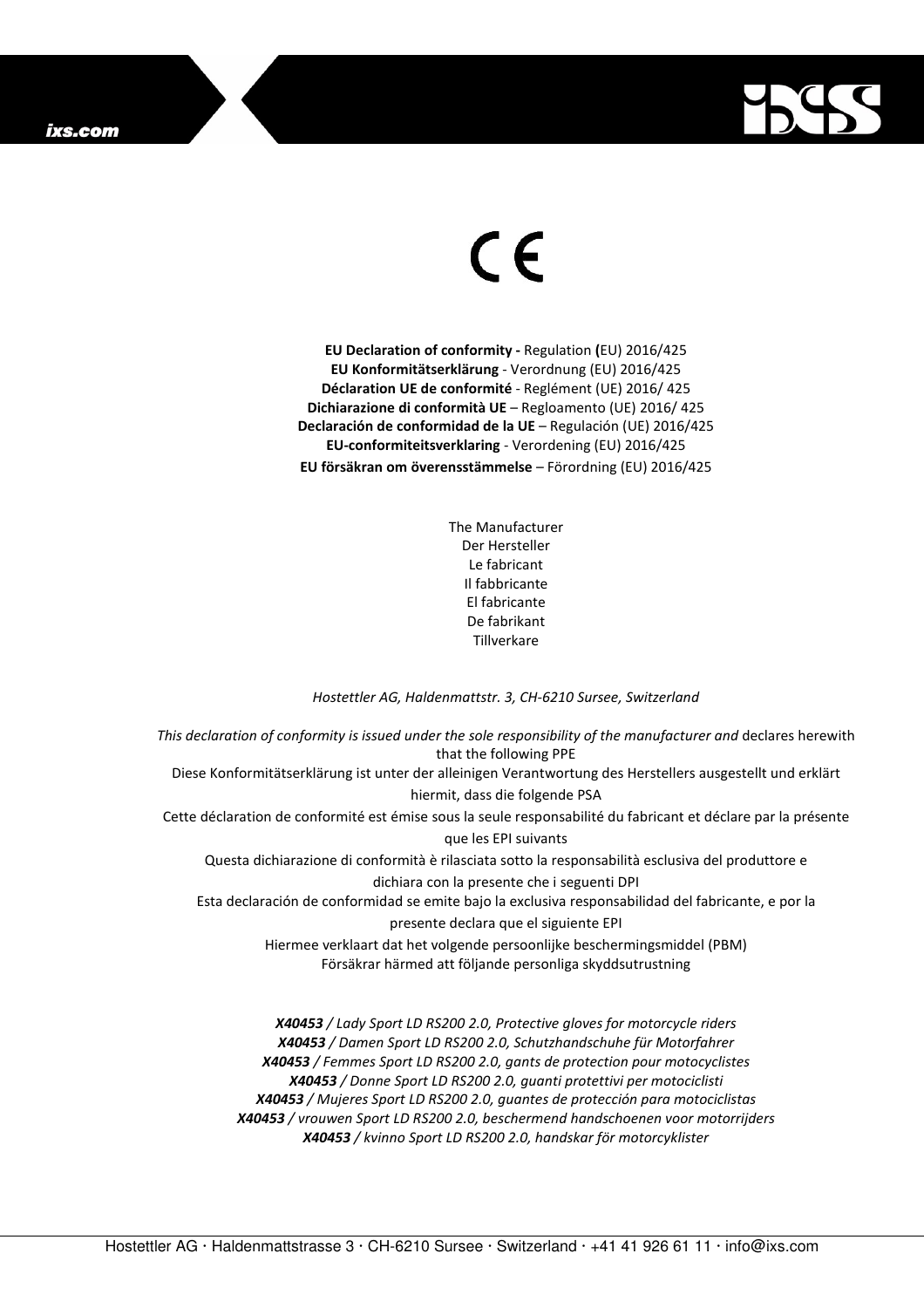

## $\in$

**EU Declaration of conformity -** Regulation **(**EU) 2016/425 **EU Konformitätserklärung** - Verordnung (EU) 2016/425 **Déclaration UE de conformité** - Reglément (UE) 2016/ 425 **Dichiarazione di conformità UE** – Regloamento (UE) 2016/ 425 **Declaración de conformidad de la UE** – Regulación (UE) 2016/425 **EU-conformiteitsverklaring** - Verordening (EU) 2016/425 **EU försäkran om överensstämmelse** – Förordning (EU) 2016/425

> The Manufacturer Der Hersteller Le fabricant Il fabbricante El fabricante De fabrikant Tillverkare

## *Hostettler AG, Haldenmattstr. 3, CH-6210 Sursee, Switzerland*

*This declaration of conformity is issued under the sole responsibility of the manufacturer and* declares herewith that the following PPE Diese Konformitätserklärung ist unter der alleinigen Verantwortung des Herstellers ausgestellt und erklärt hiermit, dass die folgende PSA Cette déclaration de conformité est émise sous la seule responsabilité du fabricant et déclare par la présente que les EPI suivants Questa dichiarazione di conformità è rilasciata sotto la responsabilità esclusiva del produttore e dichiara con la presente che i seguenti DPI Esta declaración de conformidad se emite bajo la exclusiva responsabilidad del fabricante, e por la presente declara que el siguiente EPI Hiermee verklaart dat het volgende persoonlijke beschermingsmiddel (PBM) Försäkrar härmed att följande personliga skyddsutrustning *X40453 / Lady Sport LD RS200 2.0, Protective gloves for motorcycle riders* 

*X40453 / Damen Sport LD RS200 2.0, Schutzhandschuhe für Motorfahrer X40453 / Femmes Sport LD RS200 2.0, gants de protection pour motocyclistes X40453 / Donne Sport LD RS200 2.0, guanti protettivi per motociclisti X40453 / Mujeres Sport LD RS200 2.0, guantes de protección para motociclistas X40453 / vrouwen Sport LD RS200 2.0, beschermend handschoenen voor motorrijders X40453 / kvinno Sport LD RS200 2.0, handskar för motorcyklister*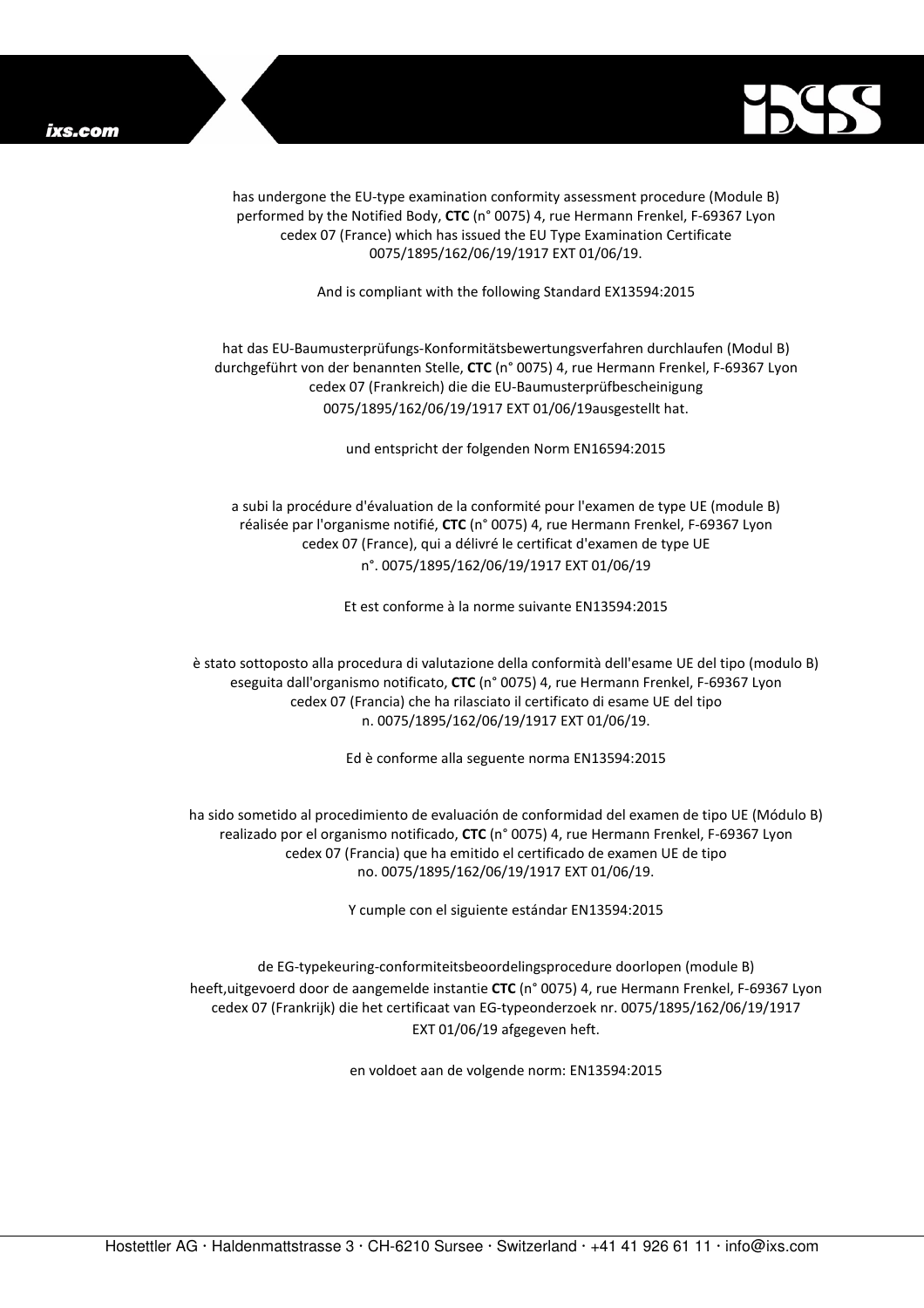

has undergone the EU-type examination conformity assessment procedure (Module B) performed by the Notified Body, **CTC** (n° 0075) 4, rue Hermann Frenkel, F-69367 Lyon cedex 07 (France) which has issued the EU Type Examination Certificate 0075/1895/162/06/19/1917 EXT 01/06/19.

And is compliant with the following Standard EX13594:2015

## hat das EU-Baumusterprüfungs-Konformitätsbewertungsverfahren durchlaufen (Modul B) durchgeführt von der benannten Stelle, **CTC** (n° 0075) 4, rue Hermann Frenkel, F-69367 Lyon cedex 07 (Frankreich) die die EU-Baumusterprüfbescheinigung 0075/1895/162/06/19/1917 EXT 01/06/19ausgestellt hat.

und entspricht der folgenden Norm EN16594:2015

a subi la procédure d'évaluation de la conformité pour l'examen de type UE (module B) réalisée par l'organisme notifié, **CTC** (n° 0075) 4, rue Hermann Frenkel, F-69367 Lyon cedex 07 (France), qui a délivré le certificat d'examen de type UE n°. 0075/1895/162/06/19/1917 EXT 01/06/19

Et est conforme à la norme suivante EN13594:2015

è stato sottoposto alla procedura di valutazione della conformità dell'esame UE del tipo (modulo B) eseguita dall'organismo notificato, **CTC** (n° 0075) 4, rue Hermann Frenkel, F-69367 Lyon cedex 07 (Francia) che ha rilasciato il certificato di esame UE del tipo n. 0075/1895/162/06/19/1917 EXT 01/06/19.

Ed è conforme alla seguente norma EN13594:2015

ha sido sometido al procedimiento de evaluación de conformidad del examen de tipo UE (Módulo B) realizado por el organismo notificado, **CTC** (n° 0075) 4, rue Hermann Frenkel, F-69367 Lyon cedex 07 (Francia) que ha emitido el certificado de examen UE de tipo no. 0075/1895/162/06/19/1917 EXT 01/06/19.

Y cumple con el siguiente estándar EN13594:2015

de EG-typekeuring-conformiteitsbeoordelingsprocedure doorlopen (module B) heeft,uitgevoerd door de aangemelde instantie **CTC** (n° 0075) 4, rue Hermann Frenkel, F-69367 Lyon cedex 07 (Frankrijk) die het certificaat van EG-typeonderzoek nr. 0075/1895/162/06/19/1917 EXT 01/06/19 afgegeven heft.

en voldoet aan de volgende norm: EN13594:2015